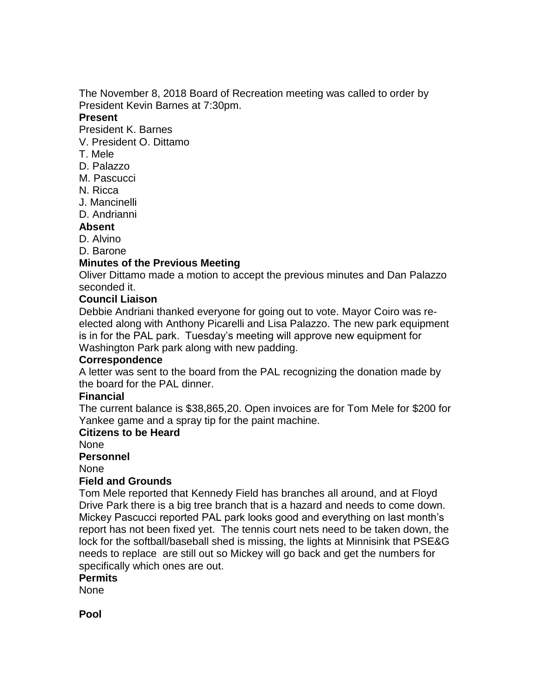The November 8, 2018 Board of Recreation meeting was called to order by President Kevin Barnes at 7:30pm.

#### **Present**

President K. Barnes

- V. President O. Dittamo
- T. Mele
- D. Palazzo
- M. Pascucci
- N. Ricca
- J. Mancinelli
- D. Andrianni

### **Absent**

- D. Alvino
- D. Barone

# **Minutes of the Previous Meeting**

Oliver Dittamo made a motion to accept the previous minutes and Dan Palazzo seconded it.

### **Council Liaison**

Debbie Andriani thanked everyone for going out to vote. Mayor Coiro was reelected along with Anthony Picarelli and Lisa Palazzo. The new park equipment is in for the PAL park. Tuesday's meeting will approve new equipment for Washington Park park along with new padding.

#### **Correspondence**

A letter was sent to the board from the PAL recognizing the donation made by the board for the PAL dinner.

#### **Financial**

The current balance is \$38,865,20. Open invoices are for Tom Mele for \$200 for Yankee game and a spray tip for the paint machine.

# **Citizens to be Heard**

None

#### **Personnel**

None

#### **Field and Grounds**

Tom Mele reported that Kennedy Field has branches all around, and at Floyd Drive Park there is a big tree branch that is a hazard and needs to come down. Mickey Pascucci reported PAL park looks good and everything on last month's report has not been fixed yet. The tennis court nets need to be taken down, the lock for the softball/baseball shed is missing, the lights at Minnisink that PSE&G needs to replace are still out so Mickey will go back and get the numbers for specifically which ones are out.

#### **Permits**

None

**Pool**